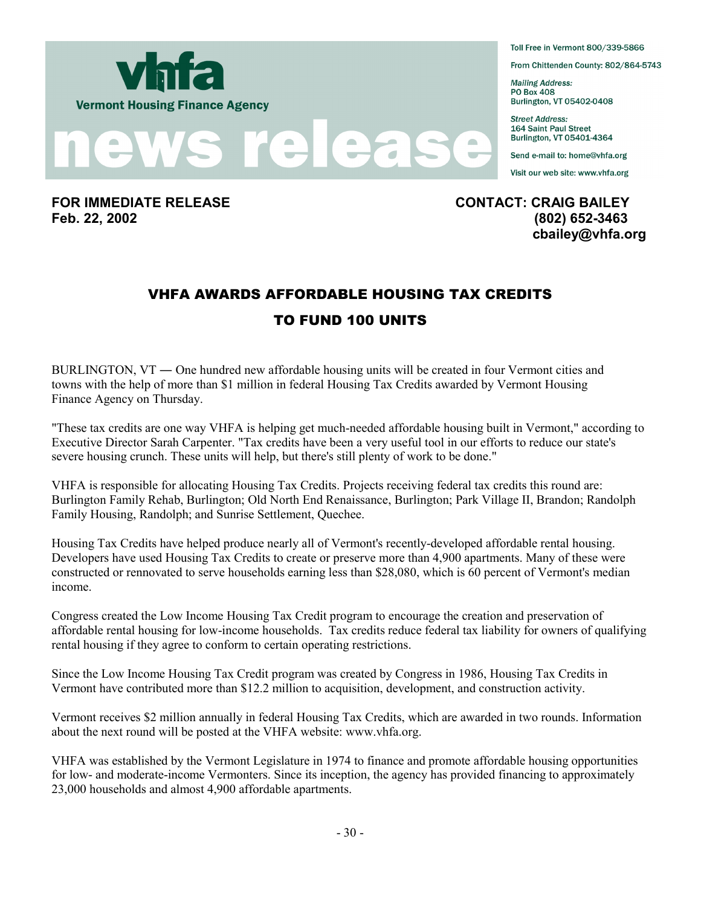



**Feb. 22, 2002 (802) 652-3463** 

Toll Free in Vermont 800/339-5866

From Chittenden County: 802/864-5743

**Mailing Address: PO Box 408** Burlington, VT 05402-0408

**Street Address: 164 Saint Paul Street** Burlington, VT 05401-4364

Send e-mail to: home@vhfa.org

Visit our web site: www.vhfa.org

**FOR IMMEDIATE RELEASE CONTACT: CRAIG BAILEY cbailey@vhfa.org** 

## VHFA AWARDS AFFORDABLE HOUSING TAX CREDITS TO FUND 100 UNITS

BURLINGTON, VT ― One hundred new affordable housing units will be created in four Vermont cities and towns with the help of more than \$1 million in federal Housing Tax Credits awarded by Vermont Housing Finance Agency on Thursday.

"These tax credits are one way VHFA is helping get much-needed affordable housing built in Vermont," according to Executive Director Sarah Carpenter. "Tax credits have been a very useful tool in our efforts to reduce our state's severe housing crunch. These units will help, but there's still plenty of work to be done."

VHFA is responsible for allocating Housing Tax Credits. Projects receiving federal tax credits this round are: Burlington Family Rehab, Burlington; Old North End Renaissance, Burlington; Park Village II, Brandon; Randolph Family Housing, Randolph; and Sunrise Settlement, Quechee.

Housing Tax Credits have helped produce nearly all of Vermont's recently-developed affordable rental housing. Developers have used Housing Tax Credits to create or preserve more than 4,900 apartments. Many of these were constructed or rennovated to serve households earning less than \$28,080, which is 60 percent of Vermont's median income.

Congress created the Low Income Housing Tax Credit program to encourage the creation and preservation of affordable rental housing for low-income households. Tax credits reduce federal tax liability for owners of qualifying rental housing if they agree to conform to certain operating restrictions.

Since the Low Income Housing Tax Credit program was created by Congress in 1986, Housing Tax Credits in Vermont have contributed more than \$12.2 million to acquisition, development, and construction activity.

Vermont receives \$2 million annually in federal Housing Tax Credits, which are awarded in two rounds. Information about the next round will be posted at the VHFA website: www.vhfa.org.

VHFA was established by the Vermont Legislature in 1974 to finance and promote affordable housing opportunities for low- and moderate-income Vermonters. Since its inception, the agency has provided financing to approximately 23,000 households and almost 4,900 affordable apartments.